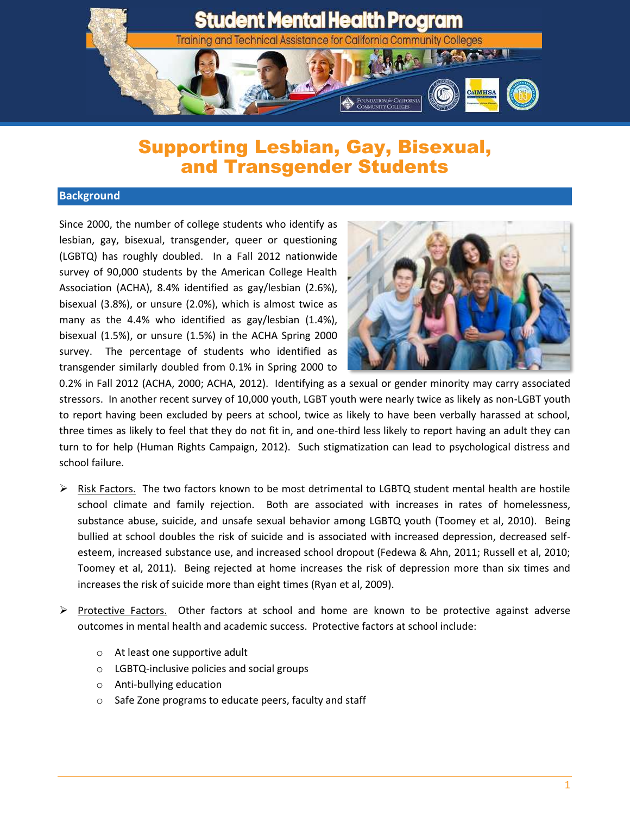

## Supporting Lesbian, Gay, Bisexual, and Transgender Students

## **Background**

Since 2000, the number of college students who identify as lesbian, gay, bisexual, transgender, queer or questioning (LGBTQ) has roughly doubled. In a Fall 2012 nationwide survey of 90,000 students by the American College Health Association (ACHA), 8.4% identified as gay/lesbian (2.6%), bisexual (3.8%), or unsure (2.0%), which is almost twice as many as the 4.4% who identified as gay/lesbian (1.4%), bisexual (1.5%), or unsure (1.5%) in the ACHA Spring 2000 survey. The percentage of students who identified as transgender similarly doubled from 0.1% in Spring 2000 to



0.2% in Fall 2012 (ACHA, 2000; ACHA, 2012). Identifying as a sexual or gender minority may carry associated stressors. In another recent survey of 10,000 youth, LGBT youth were nearly twice as likely as non-LGBT youth to report having been excluded by peers at school, twice as likely to have been verbally harassed at school, three times as likely to feel that they do not fit in, and one-third less likely to report having an adult they can turn to for help (Human Rights Campaign, 2012). Such stigmatization can lead to psychological distress and school failure.

- $\triangleright$  Risk Factors. The two factors known to be most detrimental to LGBTQ student mental health are hostile school climate and family rejection. Both are associated with increases in rates of homelessness, substance abuse, suicide, and unsafe sexual behavior among LGBTQ youth (Toomey et al, 2010). Being bullied at school doubles the risk of suicide and is associated with increased depression, decreased selfesteem, increased substance use, and increased school dropout (Fedewa & Ahn, 2011; Russell et al, 2010; Toomey et al, 2011). Being rejected at home increases the risk of depression more than six times and increases the risk of suicide more than eight times (Ryan et al, 2009).
- $\triangleright$  Protective Factors. Other factors at school and home are known to be protective against adverse outcomes in mental health and academic success. Protective factors at school include:
	- o At least one supportive adult
	- o LGBTQ-inclusive policies and social groups
	- o Anti-bullying education
	- o Safe Zone programs to educate peers, faculty and staff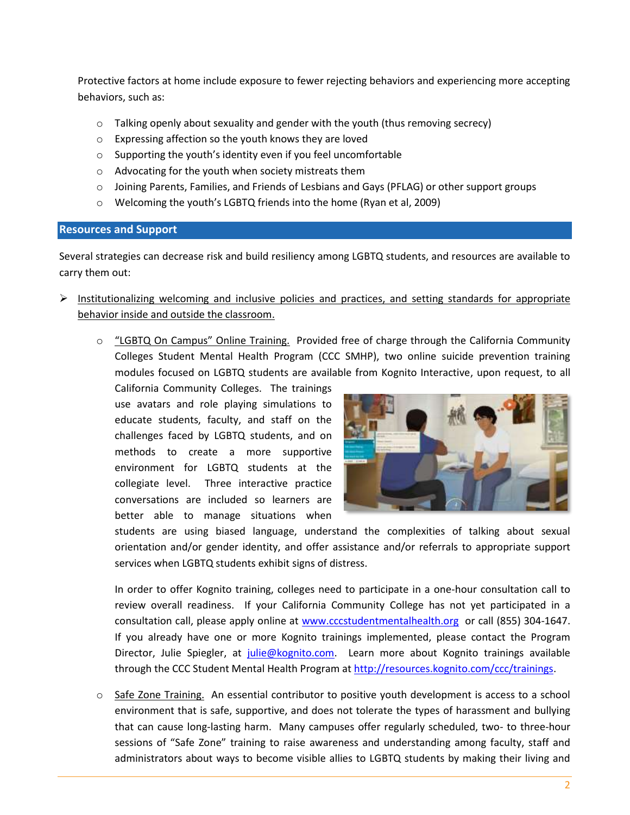Protective factors at home include exposure to fewer rejecting behaviors and experiencing more accepting behaviors, such as:

- $\circ$  Talking openly about sexuality and gender with the youth (thus removing secrecy)
- o Expressing affection so the youth knows they are loved
- o Supporting the youth's identity even if you feel uncomfortable
- o Advocating for the youth when society mistreats them
- o Joining Parents, Families, and Friends of Lesbians and Gays (PFLAG) or other support groups
- o Welcoming the youth's LGBTQ friends into the home (Ryan et al, 2009)

## **Resources and Support**

Several strategies can decrease risk and build resiliency among LGBTQ students, and resources are available to carry them out:

- $\triangleright$  Institutionalizing welcoming and inclusive policies and practices, and setting standards for appropriate behavior inside and outside the classroom.
	- o "LGBTQ On Campus" Online Training. Provided free of charge through the California Community Colleges Student Mental Health Program (CCC SMHP), two online suicide prevention training modules focused on LGBTQ students are available from Kognito Interactive, upon request, to all

California Community Colleges. The trainings use avatars and role playing simulations to educate students, faculty, and staff on the challenges faced by LGBTQ students, and on methods to create a more supportive environment for LGBTQ students at the collegiate level. Three interactive practice conversations are included so learners are better able to manage situations when



students are using biased language, understand the complexities of talking about sexual orientation and/or gender identity, and offer assistance and/or referrals to appropriate support services when LGBTQ students exhibit signs of distress.

In order to offer Kognito training, colleges need to participate in a one-hour consultation call to review overall readiness. If your California Community College has not yet participated in a consultation call, please apply online at [www.cccstudentmentalhealth.org](http://www.cccstudentmentalhealth.org/) or call (855) 304-1647. If you already have one or more Kognito trainings implemented, please contact the Program Director, Julie Spiegler, at [julie@kognito.com.](mailto:julie@kognito.com) Learn more about Kognito trainings available through the CCC Student Mental Health Program at [http://resources.kognito.com/ccc/trainings.](http://resources.kognito.com/ccc/trainings)

 $\circ$  Safe Zone Training. An essential contributor to positive youth development is access to a school environment that is safe, supportive, and does not tolerate the types of harassment and bullying that can cause long-lasting harm. Many campuses offer regularly scheduled, two- to three-hour sessions of "Safe Zone" training to raise awareness and understanding among faculty, staff and administrators about ways to become visible allies to LGBTQ students by making their living and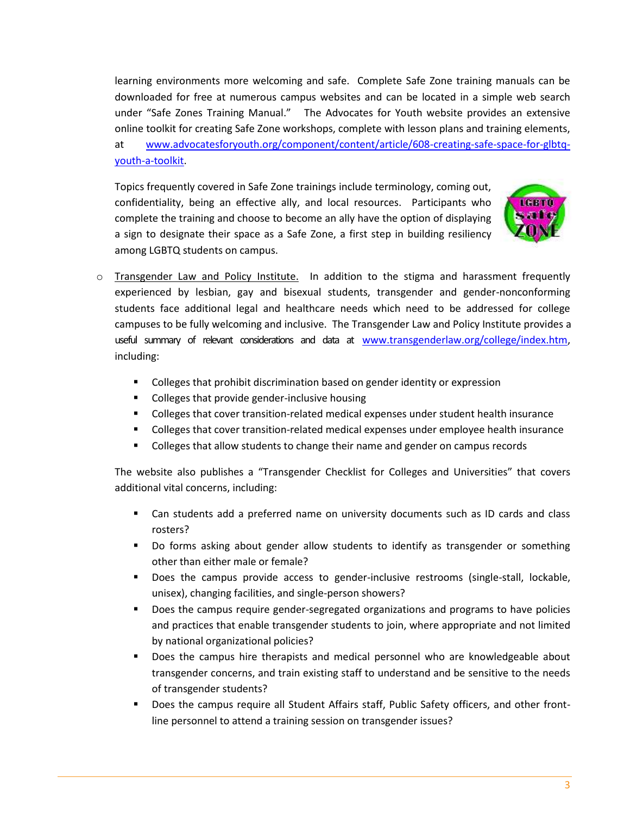learning environments more welcoming and safe. Complete Safe Zone training manuals can be downloaded for free at numerous campus websites and can be located in a simple web search under "Safe Zones Training Manual." The Advocates for Youth website provides an extensive online toolkit for creating Safe Zone workshops, complete with lesson plans and training elements, at [www.advocatesforyouth.org/component/content/article/608-creating-safe-space-for-glbtq](http://www.advocatesforyouth.org/component/content/article/608-creating-safe-space-for-glbtq-youth-a-toolkit)[youth-a-toolkit.](http://www.advocatesforyouth.org/component/content/article/608-creating-safe-space-for-glbtq-youth-a-toolkit)

Topics frequently covered in Safe Zone trainings include terminology, coming out, confidentiality, being an effective ally, and local resources. Participants who complete the training and choose to become an ally have the option of displaying a sign to designate their space as a Safe Zone, a first step in building resiliency among LGBTQ students on campus.



- o Transgender Law and Policy Institute. In addition to the stigma and harassment frequently experienced by lesbian, gay and bisexual students, transgender and gender-nonconforming students face additional legal and healthcare needs which need to be addressed for college campuses to be fully welcoming and inclusive. The Transgender Law and Policy Institute provides a useful summary of relevant considerations and data at [www.transgenderlaw.org/college/index.htm,](http://www.transgenderlaw.org/college/index.htm) including:
	- Colleges that prohibit discrimination based on gender identity or expression
	- **•** Colleges that provide gender-inclusive housing
	- Colleges that cover transition-related medical expenses under student health insurance
	- **Colleges that cover transition-related medical expenses under employee health insurance**
	- **Colleges that allow students to change their name and gender on campus records**

The website also publishes a "Transgender Checklist for Colleges and Universities" that covers additional vital concerns, including:

- Can students add a preferred name on university documents such as ID cards and class rosters?
- **Do forms asking about gender allow students to identify as transgender or something** other than either male or female?
- Does the campus provide access to gender-inclusive restrooms (single-stall, lockable, unisex), changing facilities, and single-person showers?
- Does the campus require gender-segregated organizations and programs to have policies and practices that enable transgender students to join, where appropriate and not limited by national organizational policies?
- Does the campus hire therapists and medical personnel who are knowledgeable about transgender concerns, and train existing staff to understand and be sensitive to the needs of transgender students?
- Does the campus require all Student Affairs staff, Public Safety officers, and other frontline personnel to attend a training session on transgender issues?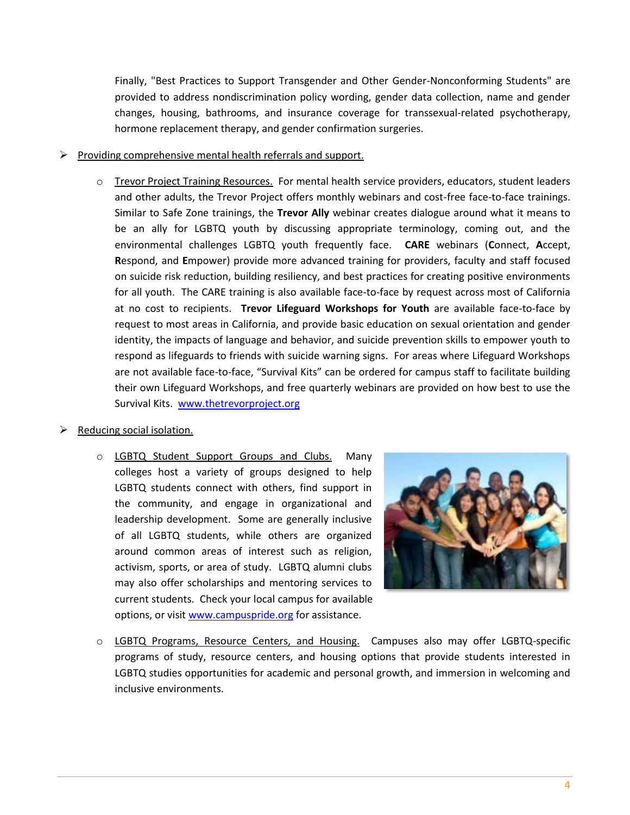Finally, "Best Practices to Support Transgender and Other Gender-Nonconforming Students" are provided to address nondiscrimination policy wording, gender data collection, name and gender changes, housing, bathrooms, and insurance coverage for transsexual-related psychotherapy, hormone replacement therapy, and gender confirmation surgeries.

- Providing comprehensive mental health referrals and support.
	- o Trevor Project Training Resources. For mental health service providers, educators, student leaders and other adults, the Trevor Project offers monthly webinars and cost-free face-to-face trainings. Similar to Safe Zone trainings, the **Trevor Ally** webinar creates dialogue around what it means to be an ally for LGBTQ youth by discussing appropriate terminology, coming out, and the environmental challenges LGBTQ youth frequently face. **CARE** webinars (**C**onnect, **A**ccept, **R**espond, and **E**mpower) provide more advanced training for providers, faculty and staff focused on suicide risk reduction, building resiliency, and best practices for creating positive environments for all youth. The CARE training is also available face-to-face by request across most of California at no cost to recipients. **Trevor Lifeguard Workshops for Youth** are available face-to-face by request to most areas in California, and provide basic education on sexual orientation and gender identity, the impacts of language and behavior, and suicide prevention skills to empower youth to respond as lifeguards to friends with suicide warning signs. For areas where Lifeguard Workshops are not available face-to-face, "Survival Kits" can be ordered for campus staff to facilitate building their own Lifeguard Workshops, and free quarterly webinars are provided on how best to use the Survival Kits. [www.thetrevorproject.org](http://www.thetrevorproject.org/)

## $\triangleright$  Reducing social isolation.

o LGBTQ Student Support Groups and Clubs. Many colleges host a variety of groups designed to help LGBTQ students connect with others, find support in the community, and engage in organizational and leadership development. Some are generally inclusive of all LGBTQ students, while others are organized around common areas of interest such as religion, activism, sports, or area of study. LGBTQ alumni clubs may also offer scholarships and mentoring services to current students. Check your local campus for available options, or visit [www.campuspride.org](http://www.campuspride.org/) for assistance.



o LGBTQ Programs, Resource Centers, and Housing. Campuses also may offer LGBTQ-specific programs of study, resource centers, and housing options that provide students interested in LGBTQ studies opportunities for academic and personal growth, and immersion in welcoming and inclusive environments.